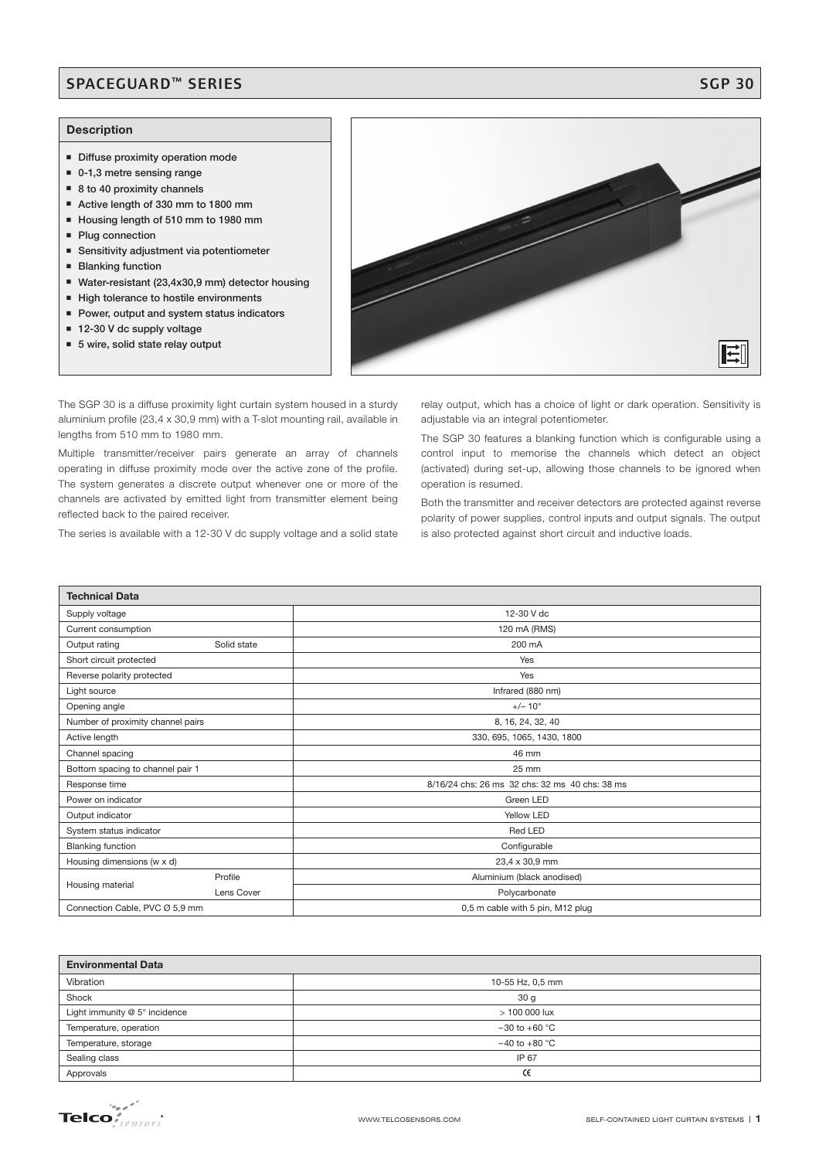## SPACEGUARD™ SERIES SGP 30

### **Description**

- **Diffuse proximity operation mode**
- 0-1,3 metre sensing range
- 8 to 40 proximity channels
- Active length of 330 mm to 1800 mm
- Housing length of 510 mm to 1980 mm
- **Plug connection**
- Sensitivity adjustment via potentiometer
- **Blanking function**
- Water-resistant (23,4x30,9 mm) detector housing
- **High tolerance to hostile environments**
- **Power, output and system status indicators**
- 12-30 V dc supply voltage
- 5 wire, solid state relay output

The SGP 30 is a diffuse proximity light curtain system housed in a sturdy aluminium profile (23,4 x 30,9 mm) with a T-slot mounting rail, available in lengths from 510 mm to 1980 mm.

Multiple transmitter/receiver pairs generate an array of channels operating in diffuse proximity mode over the active zone of the profile. The system generates a discrete output whenever one or more of the channels are activated by emitted light from transmitter element being reflected back to the paired receiver.

The series is available with a 12-30 V dc supply voltage and a solid state

relay output, which has a choice of light or dark operation. Sensitivity is adjustable via an integral potentiometer.

The SGP 30 features a blanking function which is configurable using a control input to memorise the channels which detect an object (activated) during set-up, allowing those channels to be ignored when operation is resumed.

Both the transmitter and receiver detectors are protected against reverse polarity of power supplies, control inputs and output signals. The output is also protected against short circuit and inductive loads.

| <b>Technical Data</b>             |             |                                                |  |  |  |
|-----------------------------------|-------------|------------------------------------------------|--|--|--|
| Supply voltage                    |             | 12-30 V dc                                     |  |  |  |
| Current consumption               |             | 120 mA (RMS)                                   |  |  |  |
| Output rating                     | Solid state | 200 mA                                         |  |  |  |
| Short circuit protected           |             | Yes                                            |  |  |  |
| Reverse polarity protected        |             | Yes                                            |  |  |  |
| Light source                      |             | Infrared (880 nm)                              |  |  |  |
| Opening angle                     |             | $+/- 10^{\circ}$                               |  |  |  |
| Number of proximity channel pairs |             | 8, 16, 24, 32, 40                              |  |  |  |
| Active length                     |             | 330, 695, 1065, 1430, 1800                     |  |  |  |
| Channel spacing                   |             | 46 mm                                          |  |  |  |
| Bottom spacing to channel pair 1  |             | 25 mm                                          |  |  |  |
| Response time                     |             | 8/16/24 chs: 26 ms 32 chs: 32 ms 40 chs: 38 ms |  |  |  |
| Power on indicator                |             | Green LED                                      |  |  |  |
| Output indicator                  |             | Yellow LED                                     |  |  |  |
| System status indicator           |             | Red LED                                        |  |  |  |
| <b>Blanking function</b>          |             | Configurable                                   |  |  |  |
| Housing dimensions (w x d)        |             | 23,4 x 30,9 mm                                 |  |  |  |
|                                   | Profile     | Aluminium (black anodised)                     |  |  |  |
| Housing material                  | Lens Cover  | Polycarbonate                                  |  |  |  |
| Connection Cable, PVC Ø 5,9 mm    |             | 0,5 m cable with 5 pin, M12 plug               |  |  |  |

| <b>Environmental Data</b>     |                   |  |  |  |  |
|-------------------------------|-------------------|--|--|--|--|
| Vibration                     | 10-55 Hz, 0,5 mm  |  |  |  |  |
| Shock                         | 30 <sub>g</sub>   |  |  |  |  |
| Light immunity @ 5° incidence | $>100000$ lux     |  |  |  |  |
| Temperature, operation        | $-30$ to $+60$ °C |  |  |  |  |
| Temperature, storage          | $-40$ to $+80$ °C |  |  |  |  |
| Sealing class                 | IP 67             |  |  |  |  |
| Approvals                     | Œ                 |  |  |  |  |

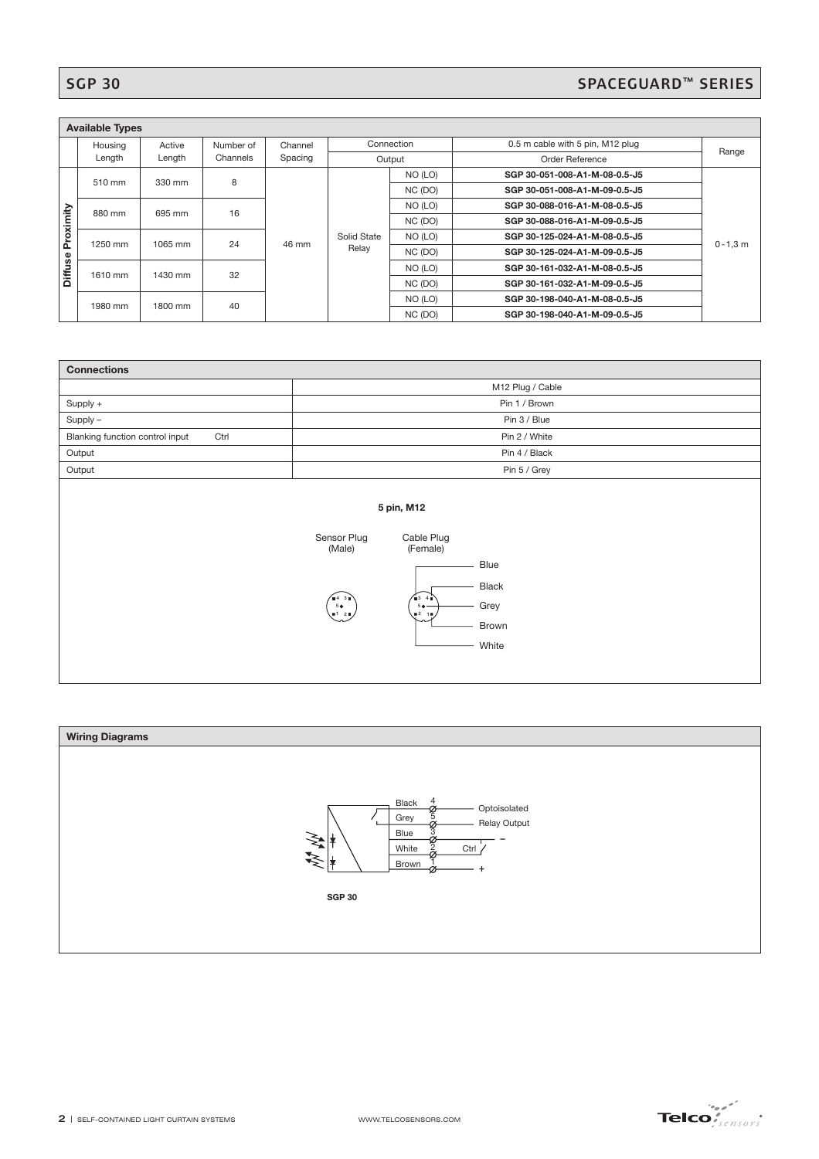# SGP 30 SPACEGUARD™ SERIES

| <b>Available Types</b> |                    |        |           |             |            |                               |                                  |       |  |
|------------------------|--------------------|--------|-----------|-------------|------------|-------------------------------|----------------------------------|-------|--|
|                        | Housing            | Active | Number of | Channel     | Connection |                               | 0.5 m cable with 5 pin, M12 plug | Range |  |
|                        | Length             | Length | Channels  | Spacing     | Output     |                               | Order Reference                  |       |  |
| Proximity              | 510 mm<br>330 mm   | 8      |           |             | NO (LO)    | SGP 30-051-008-A1-M-08-0.5-J5 |                                  |       |  |
|                        |                    |        |           |             |            | NC (DO)                       | SGP 30-051-008-A1-M-09-0.5-J5    |       |  |
|                        | 880 mm<br>695 mm   | 16     |           |             | NO (LO)    | SGP 30-088-016-A1-M-08-0.5-J5 |                                  |       |  |
|                        |                    |        |           |             |            | NC (DO)                       | SGP 30-088-016-A1-M-09-0.5-J5    |       |  |
|                        | 1250 mm<br>1065 mm | 24     | 46 mm     | Solid State | NO (LO)    | SGP 30-125-024-A1-M-08-0.5-J5 | $0 - 1, 3$ m                     |       |  |
|                        |                    |        |           |             | Relay      | NC (DO)                       | SGP 30-125-024-A1-M-09-0.5-J5    |       |  |
| <b>Diffuse</b>         | 1610 mm<br>1430 mm | 32     |           |             | NO (LO)    | SGP 30-161-032-A1-M-08-0.5-J5 |                                  |       |  |
|                        |                    |        |           |             |            | NC (DO)                       | SGP 30-161-032-A1-M-09-0.5-J5    |       |  |
|                        | 1800 mm<br>1980 mm |        | 40        |             |            | NO (LO)                       | SGP 30-198-040-A1-M-08-0.5-J5    |       |  |
|                        |                    |        |           |             |            | NC (DO)                       | SGP 30-198-040-A1-M-09-0.5-J5    |       |  |

| <b>Connections</b>                      |                                                                                                                                                                                         |  |  |  |  |
|-----------------------------------------|-----------------------------------------------------------------------------------------------------------------------------------------------------------------------------------------|--|--|--|--|
|                                         | M12 Plug / Cable                                                                                                                                                                        |  |  |  |  |
| Supply +                                | Pin 1 / Brown                                                                                                                                                                           |  |  |  |  |
| Supply -                                | Pin 3 / Blue                                                                                                                                                                            |  |  |  |  |
| Blanking function control input<br>Ctrl | Pin 2 / White                                                                                                                                                                           |  |  |  |  |
| Output                                  | Pin 4 / Black                                                                                                                                                                           |  |  |  |  |
| Output                                  | Pin 5 / Grey                                                                                                                                                                            |  |  |  |  |
|                                         | 5 pin, M12<br>Sensor Plug<br>Cable Plug<br>(Male)<br>(Female)<br>Blue<br><b>Black</b><br>64.30<br>63.46<br>Grey<br>5 <sub>0</sub><br>$50 -$<br>•120<br>$02 - 10$<br>∽<br>Brown<br>White |  |  |  |  |



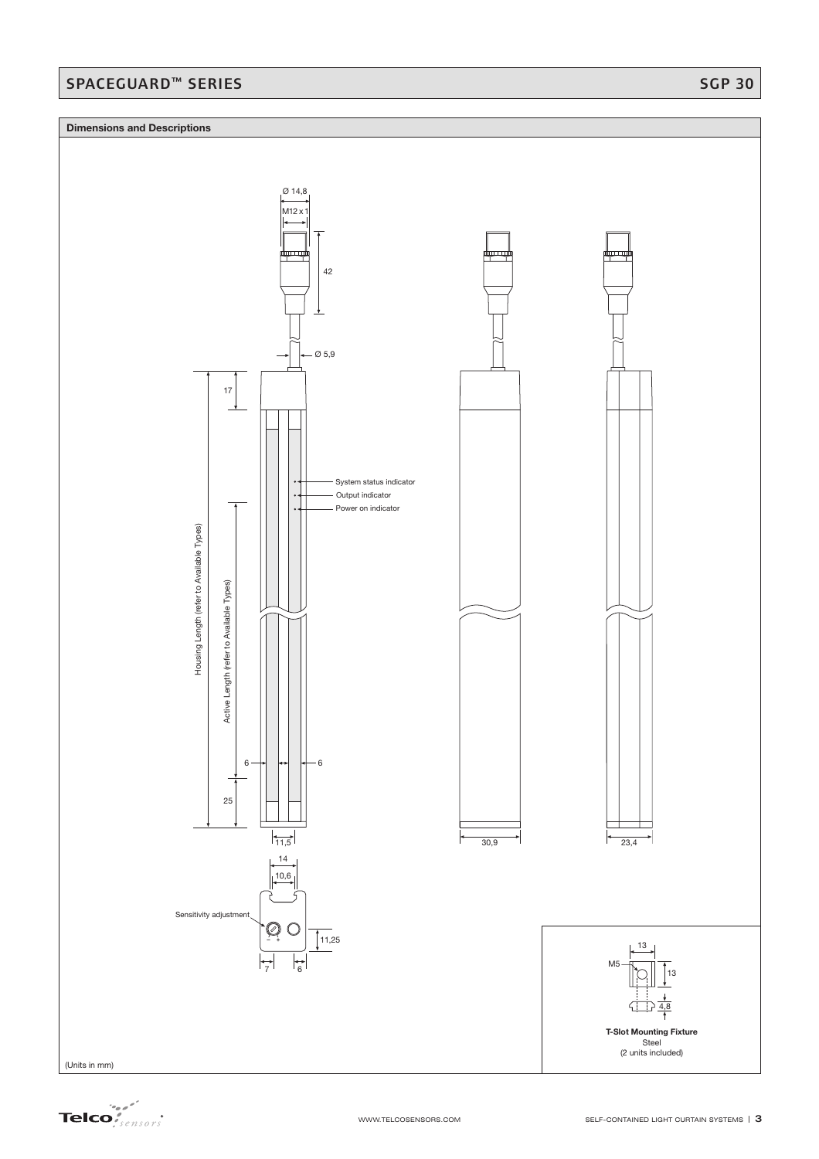## SPACEGUARD™ SERIES SGP 30

### **Dimensions and Descriptions**